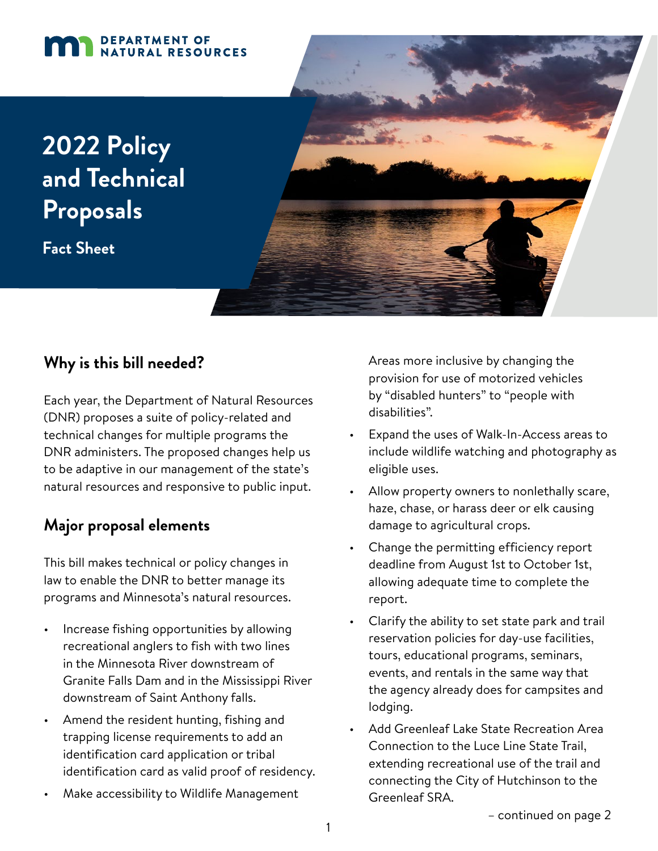#### DEPARTMENT OF DEPARTMENT OF NATURAL RESOURCES

# **2022 Policy and Technical Proposals**

**Fact Sheet**



# **Why is this bill needed?**

Each year, the Department of Natural Resources (DNR) proposes a suite of policy-related and technical changes for multiple programs the DNR administers. The proposed changes help us to be adaptive in our management of the state's natural resources and responsive to public input.

# **Major proposal elements**

This bill makes technical or policy changes in law to enable the DNR to better manage its programs and Minnesota's natural resources.

- Increase fishing opportunities by allowing recreational anglers to fish with two lines in the Minnesota River downstream of Granite Falls Dam and in the Mississippi River downstream of Saint Anthony falls.
- Amend the resident hunting, fishing and trapping license requirements to add an identification card application or tribal identification card as valid proof of residency.
- Make accessibility to Wildlife Management

Areas more inclusive by changing the provision for use of motorized vehicles by "disabled hunters" to "people with disabilities".

- Expand the uses of Walk-In-Access areas to include wildlife watching and photography as eligible uses.
- Allow property owners to nonlethally scare, haze, chase, or harass deer or elk causing damage to agricultural crops.
- Change the permitting efficiency report deadline from August 1st to October 1st, allowing adequate time to complete the report.
- Clarify the ability to set state park and trail reservation policies for day-use facilities, tours, educational programs, seminars, events, and rentals in the same way that the agency already does for campsites and lodging.
- Add Greenleaf Lake State Recreation Area Connection to the Luce Line State Trail, extending recreational use of the trail and connecting the City of Hutchinson to the Greenleaf SRA.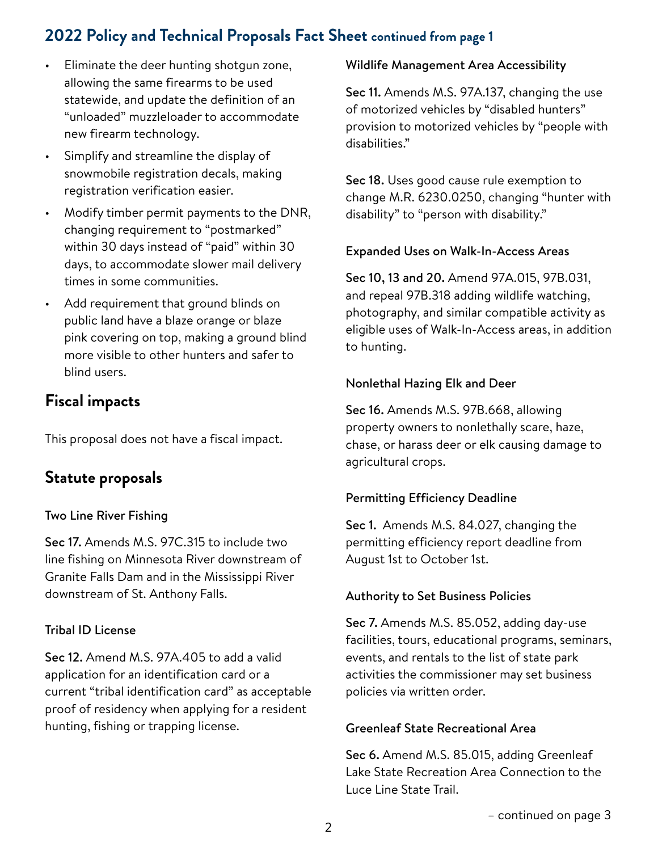# **2022 Policy and Technical Proposals Fact Sheet continued from page 1**

- Eliminate the deer hunting shotgun zone, allowing the same firearms to be used statewide, and update the definition of an "unloaded" muzzleloader to accommodate new firearm technology.
- Simplify and streamline the display of snowmobile registration decals, making registration verification easier.
- Modify timber permit payments to the DNR, changing requirement to "postmarked" within 30 days instead of "paid" within 30 days, to accommodate slower mail delivery times in some communities.
- Add requirement that ground blinds on public land have a blaze orange or blaze pink covering on top, making a ground blind more visible to other hunters and safer to blind users.

# **Fiscal impacts**

This proposal does not have a fiscal impact.

# **Statute proposals**

## Two Line River Fishing

Sec 17. Amends M.S. 97C.315 to include two line fishing on Minnesota River downstream of Granite Falls Dam and in the Mississippi River downstream of St. Anthony Falls.

# Tribal ID License

Sec 12. Amend M.S. 97A.405 to add a valid application for an identification card or a current "tribal identification card" as acceptable proof of residency when applying for a resident hunting, fishing or trapping license.

## Wildlife Management Area Accessibility

Sec 11. Amends M.S. 97A.137, changing the use of motorized vehicles by "disabled hunters" provision to motorized vehicles by "people with disabilities."

Sec 18. Uses good cause rule exemption to change M.R. 6230.0250, changing "hunter with disability" to "person with disability."

## Expanded Uses on Walk-In-Access Areas

Sec 10, 13 and 20. Amend 97A.015, 97B.031, and repeal 97B.318 adding wildlife watching, photography, and similar compatible activity as eligible uses of Walk-In-Access areas, in addition to hunting.

## Nonlethal Hazing Elk and Deer

Sec 16. Amends M.S. 97B.668, allowing property owners to nonlethally scare, haze, chase, or harass deer or elk causing damage to agricultural crops.

# Permitting Efficiency Deadline

Sec 1. Amends M.S. 84.027, changing the permitting efficiency report deadline from August 1st to October 1st.

## Authority to Set Business Policies

Sec 7. Amends M.S. 85.052, adding day-use facilities, tours, educational programs, seminars, events, and rentals to the list of state park activities the commissioner may set business policies via written order.

#### Greenleaf State Recreational Area

Sec 6. Amend M.S. 85.015, adding Greenleaf Lake State Recreation Area Connection to the Luce Line State Trail.